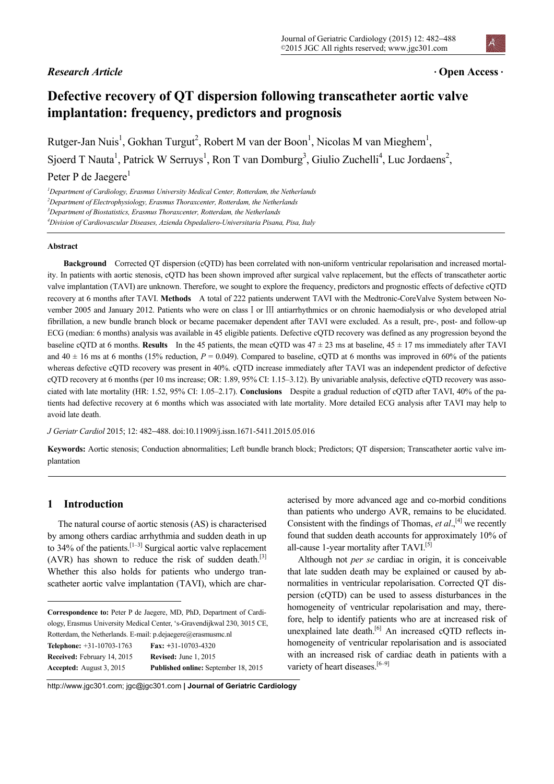# *Research Article* •

#### Journal of Geriatric Cardiology (2015) 12: 482−488 ©2015 JGC All rights reserved; www.jgc301.com

# **Open Access** •

# **Defective recovery of QT dispersion following transcatheter aortic valve implantation: frequency, predictors and prognosis**

Rutger-Jan Nuis<sup>1</sup>, Gokhan Turgut<sup>2</sup>, Robert M van der Boon<sup>1</sup>, Nicolas M van Mieghem<sup>1</sup>, Sjoerd T Nauta<sup>1</sup>, Patrick W Serruys<sup>1</sup>, Ron T van Domburg<sup>3</sup>, Giulio Zuchelli<sup>4</sup>, Luc Jordaens<sup>2</sup>,

# Peter P de Jaegere<sup>1</sup>

*1 Department of Cardiology, Erasmus University Medical Center, Rotterdam, the Netherlands 2* <sup>2</sup>Department of Electrophysiology, Erasmus Thoraxcenter, Rotterdam, the Netherlands <sup>3</sup>Department of Biostatistics, Erasmus Thoraxcenter, Rotterdam, the Netherlands *Division of Cardiovascular Diseases, Azienda Ospedaliero-Universitaria Pisana, Pisa, Italy* 

#### **Abstract**

**Background** Corrected QT dispersion (cQTD) has been correlated with non-uniform ventricular repolarisation and increased mortality. In patients with aortic stenosis, cQTD has been shown improved after surgical valve replacement, but the effects of transcatheter aortic valve implantation (TAVI) are unknown. Therefore, we sought to explore the frequency, predictors and prognostic effects of defective cQTD recovery at 6 months after TAVI. **Methods** A total of 222 patients underwent TAVI with the Medtronic-CoreValve System between November 2005 and January 2012. Patients who were on class I or III antiarrhythmics or on chronic haemodialysis or who developed atrial fibrillation, a new bundle branch block or became pacemaker dependent after TAVI were excluded. As a result, pre-, post- and follow-up ECG (median: 6 months) analysis was available in 45 eligible patients. Defective cQTD recovery was defined as any progression beyond the baseline cOTD at 6 months. **Results** In the 45 patients, the mean cOTD was  $47 \pm 23$  ms at baseline,  $45 \pm 17$  ms immediately after TAVI and  $40 \pm 16$  ms at 6 months (15% reduction,  $P = 0.049$ ). Compared to baseline, cQTD at 6 months was improved in 60% of the patients whereas defective cQTD recovery was present in 40%. cQTD increase immediately after TAVI was an independent predictor of defective cQTD recovery at 6 months (per 10 ms increase; OR: 1.89, 95% CI: 1.15–3.12). By univariable analysis, defective cQTD recovery was associated with late mortality (HR: 1.52, 95% CI: 1.05–2.17). **Conclusions** Despite a gradual reduction of cQTD after TAVI, 40% of the patients had defective recovery at 6 months which was associated with late mortality. More detailed ECG analysis after TAVI may help to avoid late death.

*J Geriatr Cardiol* 2015; 12: 482−488. doi:10.11909/j.issn.1671-5411.2015.05.016

**Keywords:** Aortic stenosis; Conduction abnormalities; Left bundle branch block; Predictors; QT dispersion; Transcatheter aortic valve implantation

# **1 Introduction**

 $\overline{a}$ 

The natural course of aortic stenosis (AS) is characterised by among others cardiac arrhythmia and sudden death in up to  $34\%$  of the patients.<sup>[1–3]</sup> Surgical aortic valve replacement  $(AVR)$  has shown to reduce the risk of sudden death.<sup>[3]</sup> Whether this also holds for patients who undergo transcatheter aortic valve implantation (TAVI), which are char-

**Correspondence to:** Peter P de Jaegere, MD, PhD, Department of Cardiology, Erasmus University Medical Center, 's-Gravendijkwal 230, 3015 CE, Rotterdam, the Netherlands. E-mail: p.dejaegere@erasmusmc.nl **Telephone:** +31-10703-1763 **Fax: +**31-10703-4320 **Received:** February 14, 2015 **Revised:** June 1, 2015 **Accepted:** August 3, 2015 **Published online:** September 18, 2015

acterised by more advanced age and co-morbid conditions than patients who undergo AVR, remains to be elucidated. Consistent with the findings of Thomas, *et al.*,<sup>[4]</sup> we recently found that sudden death accounts for approximately 10% of all-cause 1-year mortality after TAVI.<sup>[5]</sup>

Although not *per se* cardiac in origin, it is conceivable that late sudden death may be explained or caused by abnormalities in ventricular repolarisation. Corrected QT dispersion (cQTD) can be used to assess disturbances in the homogeneity of ventricular repolarisation and may, therefore, help to identify patients who are at increased risk of unexplained late death.<sup>[6]</sup> An increased cQTD reflects inhomogeneity of ventricular repolarisation and is associated with an increased risk of cardiac death in patients with a variety of heart diseases.<sup>[6–9]</sup>

http://www.jgc301.com; jgc@jgc301.com **| Journal of Geriatric Cardiology**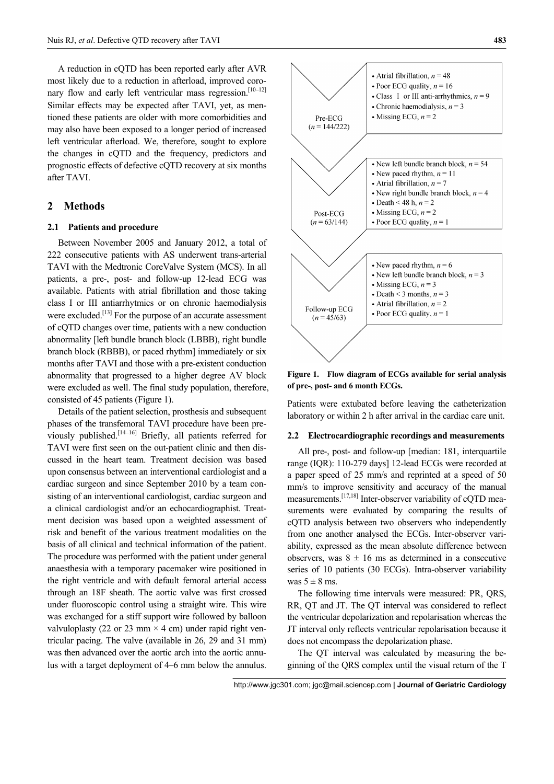A reduction in cQTD has been reported early after AVR most likely due to a reduction in afterload, improved coronary flow and early left ventricular mass regression.<sup>[10–12]</sup> Similar effects may be expected after TAVI, yet, as mentioned these patients are older with more comorbidities and may also have been exposed to a longer period of increased left ventricular afterload. We, therefore, sought to explore the changes in cQTD and the frequency, predictors and prognostic effects of defective cQTD recovery at six months after TAVI.

### **2 Methods**

# **2.1 Patients and procedure**

Between November 2005 and January 2012, a total of 222 consecutive patients with AS underwent trans-arterial TAVI with the Medtronic CoreValve System (MCS). In all patients, a pre-, post- and follow-up 12-lead ECG was available. Patients with atrial fibrillation and those taking class I or III antiarrhytmics or on chronic haemodialysis were excluded.<sup>[13]</sup> For the purpose of an accurate assessment of cQTD changes over time, patients with a new conduction abnormality [left bundle branch block (LBBB), right bundle branch block (RBBB), or paced rhythm] immediately or six months after TAVI and those with a pre-existent conduction abnormality that progressed to a higher degree AV block were excluded as well. The final study population, therefore, consisted of 45 patients (Figure 1).

Details of the patient selection, prosthesis and subsequent phases of the transfemoral TAVI procedure have been previously published.<sup>[14–16]</sup> Briefly, all patients referred for TAVI were first seen on the out-patient clinic and then discussed in the heart team. Treatment decision was based upon consensus between an interventional cardiologist and a cardiac surgeon and since September 2010 by a team consisting of an interventional cardiologist, cardiac surgeon and a clinical cardiologist and/or an echocardiographist. Treatment decision was based upon a weighted assessment of risk and benefit of the various treatment modalities on the basis of all clinical and technical information of the patient. The procedure was performed with the patient under general anaesthesia with a temporary pacemaker wire positioned in the right ventricle and with default femoral arterial access through an 18F sheath. The aortic valve was first crossed under fluoroscopic control using a straight wire. This wire was exchanged for a stiff support wire followed by balloon valvuloplasty (22 or 23 mm  $\times$  4 cm) under rapid right ventricular pacing. The valve (available in 26, 29 and 31 mm) was then advanced over the aortic arch into the aortic annulus with a target deployment of 4–6 mm below the annulus.



**Figure 1. Flow diagram of ECGs available for serial analysis of pre-, post- and 6 month ECGs.** 

Patients were extubated before leaving the catheterization laboratory or within 2 h after arrival in the cardiac care unit.

#### **2.2 Electrocardiographic recordings and measurements**

All pre-, post- and follow-up [median: 181, interquartile range (IQR): 110-279 days] 12-lead ECGs were recorded at a paper speed of 25 mm/s and reprinted at a speed of 50 mm/s to improve sensitivity and accuracy of the manual measurements.[17,18] Inter-observer variability of cQTD measurements were evaluated by comparing the results of cQTD analysis between two observers who independently from one another analysed the ECGs. Inter-observer variability, expressed as the mean absolute difference between observers, was  $8 \pm 16$  ms as determined in a consecutive series of 10 patients (30 ECGs). Intra-observer variability was  $5 \pm 8$  ms.

The following time intervals were measured: PR, QRS, RR, QT and JT. The QT interval was considered to reflect the ventricular depolarization and repolarisation whereas the JT interval only reflects ventricular repolarisation because it does not encompass the depolarization phase.

The QT interval was calculated by measuring the beginning of the QRS complex until the visual return of the T

http://www.jgc301.com; jgc@mail.sciencep.com **| Journal of Geriatric Cardiology**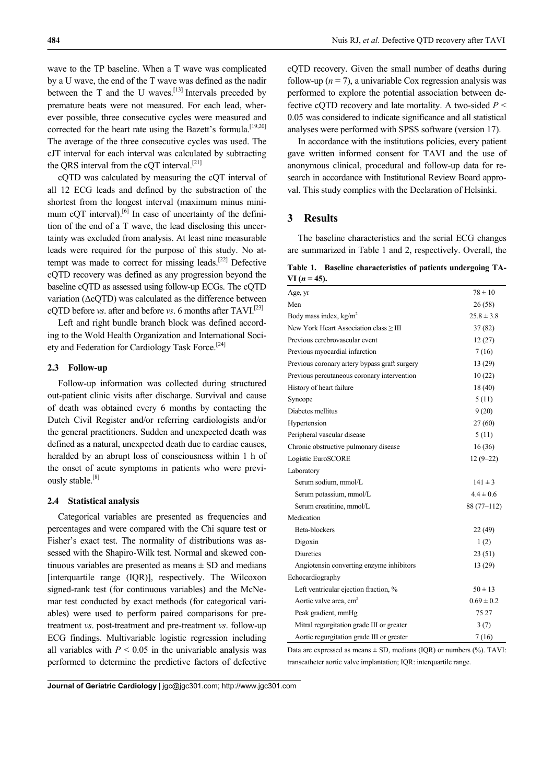wave to the TP baseline. When a T wave was complicated by a U wave, the end of the T wave was defined as the nadir between the T and the U waves.<sup>[13]</sup> Intervals preceded by premature beats were not measured. For each lead, wherever possible, three consecutive cycles were measured and corrected for the heart rate using the Bazett's formula.<sup>[19,20]</sup> The average of the three consecutive cycles was used. The cJT interval for each interval was calculated by subtracting the QRS interval from the cQT interval.<sup>[21]</sup>

cQTD was calculated by measuring the cQT interval of all 12 ECG leads and defined by the substraction of the shortest from the longest interval (maximum minus minimum cQT interval).<sup>[6]</sup> In case of uncertainty of the definition of the end of a T wave, the lead disclosing this uncertainty was excluded from analysis. At least nine measurable leads were required for the purpose of this study. No attempt was made to correct for missing leads.[22] Defective cQTD recovery was defined as any progression beyond the baseline cQTD as assessed using follow-up ECGs. The cQTD variation (ΔcQTD) was calculated as the difference between cQTD before *vs*. after and before *vs*. 6 months after TAVI.[23]

Left and right bundle branch block was defined according to the Wold Health Organization and International Society and Federation for Cardiology Task Force.[24]

#### **2.3 Follow-up**

Follow-up information was collected during structured out-patient clinic visits after discharge. Survival and cause of death was obtained every 6 months by contacting the Dutch Civil Register and/or referring cardiologists and/or the general practitioners. Sudden and unexpected death was defined as a natural, unexpected death due to cardiac causes, heralded by an abrupt loss of consciousness within 1 h of the onset of acute symptoms in patients who were previously stable.<sup>[8]</sup>

#### **2.4 Statistical analysis**

Categorical variables are presented as frequencies and percentages and were compared with the Chi square test or Fisher's exact test. The normality of distributions was assessed with the Shapiro-Wilk test. Normal and skewed continuous variables are presented as means  $\pm$  SD and medians [interquartile range (IQR)], respectively. The Wilcoxon signed-rank test (for continuous variables) and the McNemar test conducted by exact methods (for categorical variables) were used to perform paired comparisons for pretreatment *vs*. post-treatment and pre-treatment *vs*. follow-up ECG findings. Multivariable logistic regression including all variables with  $P < 0.05$  in the univariable analysis was performed to determine the predictive factors of defective cQTD recovery. Given the small number of deaths during follow-up  $(n = 7)$ , a univariable Cox regression analysis was performed to explore the potential association between defective cQTD recovery and late mortality. A two-sided *P* < 0.05 was considered to indicate significance and all statistical analyses were performed with SPSS software (version 17).

In accordance with the institutions policies, every patient gave written informed consent for TAVI and the use of anonymous clinical, procedural and follow-up data for research in accordance with Institutional Review Board approval. This study complies with the Declaration of Helsinki.

### **3 Results**

The baseline characteristics and the serial ECG changes are summarized in Table 1 and 2, respectively. Overall, the

**Table 1. Baseline characteristics of patients undergoing TA-** $VI (n = 45).$ 

| Age, yr                                       | $78 \pm 10$    |
|-----------------------------------------------|----------------|
| Men                                           | 26(58)         |
| Body mass index, $kg/m^2$                     | $25.8 \pm 3.8$ |
| New York Heart Association class ≥ III        | 37(82)         |
| Previous cerebrovascular event                | 12(27)         |
| Previous myocardial infarction                | 7(16)          |
| Previous coronary artery bypass graft surgery | 13 (29)        |
| Previous percutaneous coronary intervention   | 10(22)         |
| History of heart failure                      | 18(40)         |
| Syncope                                       | 5(11)          |
| Diabetes mellitus                             | 9(20)          |
| Hypertension                                  | 27(60)         |
| Peripheral vascular disease                   | 5(11)          |
| Chronic obstructive pulmonary disease         | 16(36)         |
| Logistic EuroSCORE                            | $12(9-22)$     |
| Laboratory                                    |                |
| Serum sodium, mmol/L                          | $141 \pm 3$    |
| Serum potassium, mmol/L                       | $4.4 \pm 0.6$  |
| Serum creatinine, mmol/L                      | $88(77-112)$   |
| Medication                                    |                |
| Beta-blockers                                 | 22(49)         |
| Digoxin                                       | 1(2)           |
| <b>Diuretics</b>                              | 23(51)         |
| Angiotensin converting enzyme inhibitors      | 13 (29)        |
| Echocardiography                              |                |
| Left ventricular ejection fraction, %         | $50 \pm 13$    |
| Aortic valve area, cm <sup>2</sup>            | $0.69 \pm 0.2$ |
| Peak gradient, mmHg                           | 75 27          |
| Mitral regurgitation grade III or greater     | 3(7)           |
| Aortic regurgitation grade III or greater     | 7(16)          |

Data are expressed as means  $\pm$  SD, medians (IQR) or numbers (%). TAVI: transcatheter aortic valve implantation; IQR: interquartile range.

**Journal of Geriatric Cardiology** | jgc@jgc301.com; http://www.jgc301.com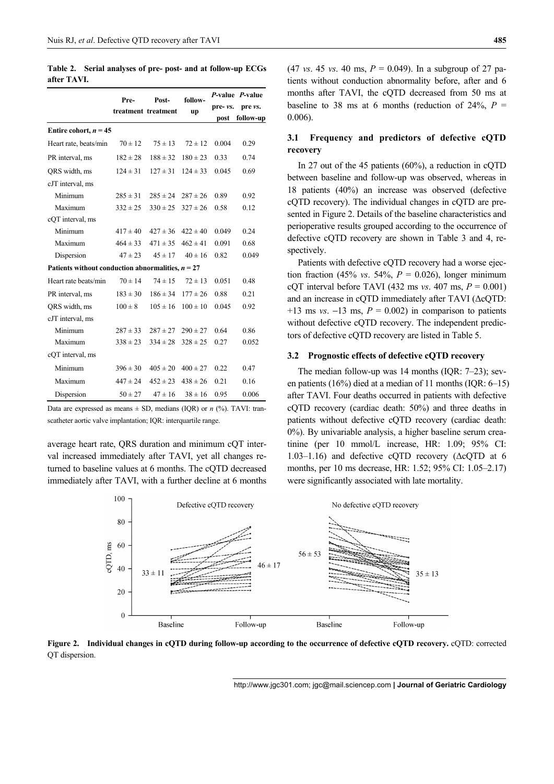**Table 2. Serial analyses of pre- post- and at follow-up ECGs after TAVI.** 

|                                                     | Pre-<br>Post-       | follow-      |              | P-value P-value |           |
|-----------------------------------------------------|---------------------|--------------|--------------|-----------------|-----------|
|                                                     | treatment treatment |              | up           | pre- vs.        | pre vs.   |
|                                                     |                     |              |              | post            | follow-up |
| Entire cohort, $n = 45$                             |                     |              |              |                 |           |
| Heart rate, beats/min                               | $70 \pm 12$         | $75 \pm 13$  | $72 \pm 12$  | 0.004           | 0.29      |
| PR interval, ms                                     | $182 \pm 28$        | $188 \pm 32$ | $180 \pm 23$ | 0.33            | 0.74      |
| QRS width, ms                                       | $124 \pm 31$        | $127 \pm 31$ | $124 \pm 33$ | 0.045           | 0.69      |
| cJT interval, ms                                    |                     |              |              |                 |           |
| Minimum                                             | $285 \pm 31$        | $285 \pm 24$ | $287 \pm 26$ | 0.89            | 0.92      |
| Maximum                                             | $332 \pm 25$        | $330 \pm 25$ | $327 \pm 26$ | 0.58            | 0.12      |
| cQT interval, ms                                    |                     |              |              |                 |           |
| Minimum                                             | $417 \pm 40$        | $427 \pm 36$ | $422 \pm 40$ | 0.049           | 0.24      |
| Maximum                                             | $464 \pm 33$        | $471 \pm 35$ | $462 \pm 41$ | 0.091           | 0.68      |
| Dispersion                                          | $47 \pm 23$         | $45 \pm 17$  | $40 \pm 16$  | 0.82            | 0.049     |
| Patients without conduction abnormalities, $n = 27$ |                     |              |              |                 |           |
| Heart rate beats/min                                | $70 \pm 14$         | $74 \pm 15$  | $72 \pm 13$  | 0.051           | 0.48      |
| PR interval, ms                                     | $183 \pm 30$        | $186 \pm 34$ | $177 \pm 26$ | 0.88            | 0.21      |
| ORS width, ms                                       | $100 \pm 8$         | $105 \pm 16$ | $100 \pm 10$ | 0.045           | 0.92      |
| cJT interval, ms                                    |                     |              |              |                 |           |
| Minimum                                             | $287 \pm 33$        | $287 \pm 27$ | $290 \pm 27$ | 0.64            | 0.86      |
| Maximum                                             | $338 \pm 23$        | $334 \pm 28$ | $328 \pm 25$ | 0.27            | 0.052     |
| cQT interval, ms                                    |                     |              |              |                 |           |
| Minimum                                             | $396 \pm 30$        | $405 \pm 20$ | $400 \pm 27$ | 0.22            | 0.47      |
| Maximum                                             | $447 \pm 24$        | $452 \pm 23$ | $438 \pm 26$ | 0.21            | 0.16      |
| Dispersion                                          | $50 \pm 27$         | $47 \pm 16$  | $38 \pm 16$  | 0.95            | 0.006     |

Data are expressed as means  $\pm$  SD, medians (IQR) or *n* (%). TAVI: transcatheter aortic valve implantation; IQR: interquartile range.

average heart rate, QRS duration and minimum cQT interval increased immediately after TAVI, yet all changes returned to baseline values at 6 months. The cQTD decreased immediately after TAVI, with a further decline at 6 months (47 *vs*. 45 *vs*. 40 ms, *P* = 0.049). In a subgroup of 27 patients without conduction abnormality before, after and 6 months after TAVI, the cQTD decreased from 50 ms at baseline to 38 ms at 6 months (reduction of  $24\%$ ,  $P =$ 0.006).

# **3.1 Frequency and predictors of defective cQTD recovery**

In 27 out of the 45 patients (60%), a reduction in cQTD between baseline and follow-up was observed, whereas in 18 patients (40%) an increase was observed (defective cQTD recovery). The individual changes in cQTD are presented in Figure 2. Details of the baseline characteristics and perioperative results grouped according to the occurrence of defective cQTD recovery are shown in Table 3 and 4, respectively.

Patients with defective cQTD recovery had a worse ejection fraction (45% *vs.* 54%,  $P = 0.026$ ), longer minimum cQT interval before TAVI (432 ms *vs*. 407 ms, *P* = 0.001) and an increase in cQTD immediately after TAVI (ΔcQTD:  $+13$  ms *vs*.  $-13$  ms,  $P = 0.002$ ) in comparison to patients without defective cOTD recovery. The independent predictors of defective cQTD recovery are listed in Table 5.

### **3.2 Prognostic effects of defective cQTD recovery**

The median follow-up was 14 months (IQR: 7–23); seven patients (16%) died at a median of 11 months (IQR: 6–15) after TAVI. Four deaths occurred in patients with defective cQTD recovery (cardiac death: 50%) and three deaths in patients without defective cQTD recovery (cardiac death: 0%). By univariable analysis, a higher baseline serum creatinine (per 10 mmol/L increase, HR: 1.09; 95% CI: 1.03–1.16) and defective cQTD recovery (ΔcQTD at 6 months, per 10 ms decrease, HR: 1.52; 95% CI: 1.05–2.17) were significantly associated with late mortality.



**Figure 2. Individual changes in cQTD during follow-up according to the occurrence of defective cQTD recovery.** cQTD: corrected QT dispersion.

http://www.jgc301.com; jgc@mail.sciencep.com **| Journal of Geriatric Cardiology**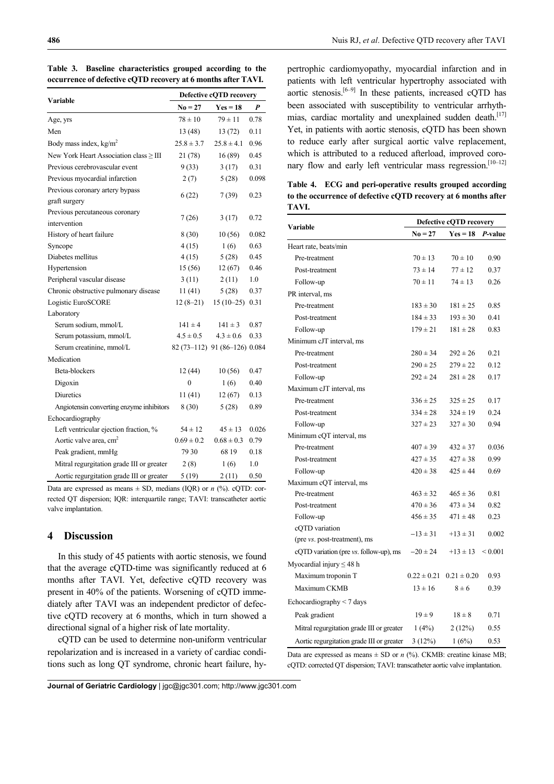| Variable                                         | Defective cQTD recovery |                               |       |  |
|--------------------------------------------------|-------------------------|-------------------------------|-------|--|
|                                                  | $No = 27$               | $Yes = 18$                    | P     |  |
| Age, yrs                                         | $78 \pm 10$             | $79 \pm 11$                   | 0.78  |  |
| Men                                              | 13(48)                  | 13(72)                        | 0.11  |  |
| Body mass index, $kg/m2$                         | $25.8 \pm 3.7$          | $25.8 \pm 4.1$                | 0.96  |  |
| New York Heart Association class $\geq$ III      | 21 (78)                 | 16(89)                        | 0.45  |  |
| Previous cerebrovascular event                   | 9(33)                   | 3(17)                         | 0.31  |  |
| Previous myocardial infarction                   | 2(7)                    | 5(28)                         | 0.098 |  |
| Previous coronary artery bypass<br>graft surgery | 6(22)                   | 7(39)                         | 0.23  |  |
| Previous percutaneous coronary<br>intervention   | 7(26)                   | 3(17)                         | 0.72  |  |
| History of heart failure                         | 8(30)                   | 10(56)                        | 0.082 |  |
| Syncope                                          | 4(15)                   | 1(6)                          | 0.63  |  |
| Diabetes mellitus                                | 4(15)                   | 5(28)                         | 0.45  |  |
| Hypertension                                     | 15(56)                  | 12(67)                        | 0.46  |  |
| Peripheral vascular disease                      | 3(11)                   | 2(11)                         | 1.0   |  |
| Chronic obstructive pulmonary disease            | 11(41)                  | 5(28)                         | 0.37  |  |
| Logistic EuroSCORE                               | $12(8-21)$              | $15(10-25)$                   | 0.31  |  |
| Laboratory                                       |                         |                               |       |  |
| Serum sodium, mmol/L                             | $141 \pm 4$             | $141 \pm 3$                   | 0.87  |  |
| Serum potassium, mmol/L                          | $4.5 \pm 0.5$           | $4.3 \pm 0.6$                 | 0.33  |  |
| Serum creatinine, mmol/L                         |                         | 82 (73-112) 91 (86-126) 0.084 |       |  |
| Medication                                       |                         |                               |       |  |
| Beta-blockers                                    | 12(44)                  | 10(56)                        | 0.47  |  |
| Digoxin                                          | $\overline{0}$          | 1(6)                          | 0.40  |  |
| <b>Diuretics</b>                                 | 11(41)                  | 12(67)                        | 0.13  |  |
| Angiotensin converting enzyme inhibitors         | 8(30)                   | 5(28)                         | 0.89  |  |
| Echocardiography                                 |                         |                               |       |  |
| Left ventricular ejection fraction, %            | $54 \pm 12$             | $45 \pm 13$                   | 0.026 |  |
| Aortic valve area, cm <sup>2</sup>               | $0.69 \pm 0.2$          | $0.68 \pm 0.3$                | 0.79  |  |
| Peak gradient, mmHg                              | 79 30                   | 68 19                         | 0.18  |  |
| Mitral regurgitation grade III or greater        | 2(8)                    | 1(6)                          | 1.0   |  |
| Aortic regurgitation grade III or greater        | 5(19)                   | 2(11)                         | 0.50  |  |

**Table 3. Baseline characteristics grouped according to the occurrence of defective cQTD recovery at 6 months after TAVI.** 

Data are expressed as means  $\pm$  SD, medians (IQR) or *n* (%). cQTD: corrected QT dispersion; IQR: interquartile range; TAVI: transcatheter aortic valve implantation.

# **4 Discussion**

In this study of 45 patients with aortic stenosis, we found that the average cQTD-time was significantly reduced at 6 months after TAVI. Yet, defective cQTD recovery was present in 40% of the patients. Worsening of cQTD immediately after TAVI was an independent predictor of defective cQTD recovery at 6 months, which in turn showed a directional signal of a higher risk of late mortality.

cQTD can be used to determine non-uniform ventricular repolarization and is increased in a variety of cardiac conditions such as long QT syndrome, chronic heart failure, hypertrophic cardiomyopathy, myocardial infarction and in patients with left ventricular hypertrophy associated with aortic stenosis.<sup>[6–9]</sup> In these patients, increased cQTD has been associated with susceptibility to ventricular arrhythmias, cardiac mortality and unexplained sudden death.<sup>[17]</sup> Yet, in patients with aortic stenosis, cQTD has been shown to reduce early after surgical aortic valve replacement, which is attributed to a reduced afterload, improved coronary flow and early left ventricular mass regression.<sup>[10-12]</sup>

**Table 4. ECG and peri-operative results grouped according to the occurrence of defective cQTD recovery at 6 months after TAVI.** 

|                                           | Defective cQTD recovery |                 |                 |  |
|-------------------------------------------|-------------------------|-----------------|-----------------|--|
| Variable                                  | $No = 27$               | $Yes = 18$      | <i>P</i> -value |  |
| Heart rate, beats/min                     |                         |                 |                 |  |
| Pre-treatment                             | $70 \pm 13$             | $70 \pm 10$     | 0.90            |  |
| Post-treatment                            | $73 \pm 14$             | $77 \pm 12$     | 0.37            |  |
| Follow-up                                 | $70 \pm 11$             | $74 \pm 13$     | 0.26            |  |
| PR interval, ms                           |                         |                 |                 |  |
| Pre-treatment                             | $183 \pm 30$            | $181 \pm 25$    | 0.85            |  |
| Post-treatment                            | $184 \pm 33$            | $193 \pm 30$    | 0.41            |  |
| Follow-up                                 | $179 \pm 21$            | $181 \pm 28$    | 0.83            |  |
| Minimum cJT interval, ms                  |                         |                 |                 |  |
| Pre-treatment                             | $280 \pm 34$            | $292 \pm 26$    | 0.21            |  |
| Post-treatment                            | $290 \pm 25$            | $279 \pm 22$    | 0.12            |  |
| Follow-up                                 | $292 \pm 24$            | $281 \pm 28$    | 0.17            |  |
| Maximum cJT interval, ms                  |                         |                 |                 |  |
| Pre-treatment                             | $336 \pm 25$            | $325 \pm 25$    | 0.17            |  |
| Post-treatment                            | $334 \pm 28$            | $324 \pm 19$    | 0.24            |  |
| Follow-up                                 | $327 \pm 23$            | $327 \pm 30$    | 0.94            |  |
| Minimum cQT interval, ms                  |                         |                 |                 |  |
| Pre-treatment                             | $407 \pm 39$            | $432 \pm 37$    | 0.036           |  |
| Post-treatment                            | $427 \pm 35$            | $427 \pm 38$    | 0.99            |  |
| Follow-up                                 | $420 \pm 38$            | $425 \pm 44$    | 0.69            |  |
| Maximum cQT interval, ms                  |                         |                 |                 |  |
| Pre-treatment                             | $463 \pm 32$            | $465 \pm 36$    | 0.81            |  |
| Post-treatment                            | $470 \pm 36$            | $473 \pm 34$    | 0.82            |  |
| Follow-up                                 | $456 \pm 35$            | $471 \pm 48$    | 0.23            |  |
| cQTD variation                            | $-13 \pm 31$            | $+13 \pm 31$    | 0.002           |  |
| (pre vs. post-treatment), ms              |                         |                 |                 |  |
| cQTD variation (pre vs. follow-up), ms    | $-20 \pm 24$            | $+13 \pm 13$    | ${}_{0.001}$    |  |
| Myocardial injury $\leq 48$ h             |                         |                 |                 |  |
| Maximum troponin T                        | $0.22 \pm 0.21$         | $0.21 \pm 0.20$ | 0.93            |  |
| Maximum CKMB                              | $13 \pm 16$             | $8 \pm 6$       | 0.39            |  |
| Echocardiography $<$ 7 days               |                         |                 |                 |  |
| Peak gradient                             | $19 \pm 9$              | $18 \pm 8$      | 0.71            |  |
| Mitral regurgitation grade III or greater | 1(4%)                   | 2(12%)          | 0.55            |  |
| Aortic regurgitation grade III or greater | 3(12%)                  | 1(6%)           | 0.53            |  |

Data are expressed as means  $\pm$  SD or *n* (%). CKMB: creatine kinase MB; cQTD: corrected QT dispersion; TAVI: transcatheter aortic valve implantation.

**Journal of Geriatric Cardiology** | jgc@jgc301.com; http://www.jgc301.com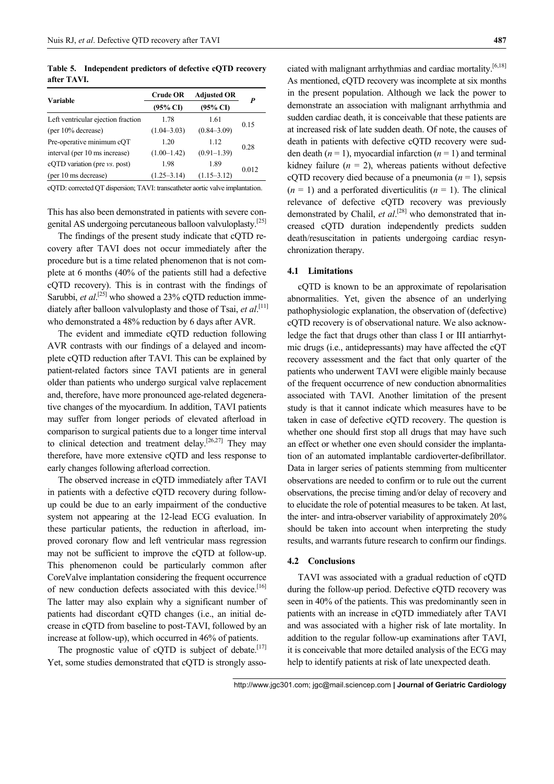**Table 5. Independent predictors of defective cQTD recovery after TAVI.** 

|                                    | <b>Crude OR</b>     | <b>Adjusted OR</b>  | P     |  |
|------------------------------------|---------------------|---------------------|-------|--|
| <b>Variable</b>                    | $(95\% \text{ CI})$ | $(95\% \text{ CI})$ |       |  |
| Left ventricular ejection fraction | 1.78                | 1.61                |       |  |
| (per 10% decrease)                 | $(1.04 - 3.03)$     | $(0.84 - 3.09)$     | 0.15  |  |
| Pre-operative minimum cQT          | 1.20                | 1.12                |       |  |
| interval (per 10 ms increase)      | $(1.00-1.42)$       | $(0.91 - 1.39)$     | 0.28  |  |
| cQTD variation (pre vs. post)      | 1.98                | 1.89                | 0.012 |  |
| (per 10 ms decrease)               | $(1.25 - 3.14)$     | $(1.15 - 3.12)$     |       |  |
|                                    |                     |                     |       |  |

cQTD: corrected QT dispersion; TAVI: transcatheter aortic valve implantation.

This has also been demonstrated in patients with severe congenital AS undergoing percutaneous balloon valvuloplasty.[25]

The findings of the present study indicate that cQTD recovery after TAVI does not occur immediately after the procedure but is a time related phenomenon that is not complete at 6 months (40% of the patients still had a defective cQTD recovery). This is in contrast with the findings of Sarubbi, *et al.*<sup>[25]</sup> who showed a 23% cQTD reduction immediately after balloon valvuloplasty and those of Tsai, *et al*. [11] who demonstrated a 48% reduction by 6 days after AVR.

The evident and immediate cQTD reduction following AVR contrasts with our findings of a delayed and incomplete cQTD reduction after TAVI. This can be explained by patient-related factors since TAVI patients are in general older than patients who undergo surgical valve replacement and, therefore, have more pronounced age-related degenerative changes of the myocardium. In addition, TAVI patients may suffer from longer periods of elevated afterload in comparison to surgical patients due to a longer time interval to clinical detection and treatment delay.<sup>[26,27]</sup> They may therefore, have more extensive cQTD and less response to early changes following afterload correction.

The observed increase in cQTD immediately after TAVI in patients with a defective cQTD recovery during followup could be due to an early impairment of the conductive system not appearing at the 12-lead ECG evaluation. In these particular patients, the reduction in afterload, improved coronary flow and left ventricular mass regression may not be sufficient to improve the cQTD at follow-up. This phenomenon could be particularly common after CoreValve implantation considering the frequent occurrence of new conduction defects associated with this device.<sup>[16]</sup> The latter may also explain why a significant number of patients had discordant cQTD changes (i.e., an initial decrease in cQTD from baseline to post-TAVI, followed by an increase at follow-up), which occurred in 46% of patients.

The prognostic value of cQTD is subject of debate.<sup>[17]</sup> Yet, some studies demonstrated that cQTD is strongly associated with malignant arrhythmias and cardiac mortality.[6,18] As mentioned, cOTD recovery was incomplete at six months in the present population. Although we lack the power to demonstrate an association with malignant arrhythmia and sudden cardiac death, it is conceivable that these patients are at increased risk of late sudden death. Of note, the causes of death in patients with defective cQTD recovery were sudden death  $(n = 1)$ , myocardial infarction  $(n = 1)$  and terminal kidney failure  $(n = 2)$ , whereas patients without defective cQTD recovery died because of a pneumonia  $(n = 1)$ , sepsis  $(n = 1)$  and a perforated diverticulitis  $(n = 1)$ . The clinical relevance of defective cQTD recovery was previously demonstrated by Chalil, *et al.*<sup>[28]</sup> who demonstrated that increased cQTD duration independently predicts sudden death/resuscitation in patients undergoing cardiac resynchronization therapy.

### **4.1 Limitations**

cQTD is known to be an approximate of repolarisation abnormalities. Yet, given the absence of an underlying pathophysiologic explanation, the observation of (defective) cQTD recovery is of observational nature. We also acknowledge the fact that drugs other than class I or III antiarrhytmic drugs (i.e., antidepressants) may have affected the cQT recovery assessment and the fact that only quarter of the patients who underwent TAVI were eligible mainly because of the frequent occurrence of new conduction abnormalities associated with TAVI. Another limitation of the present study is that it cannot indicate which measures have to be taken in case of defective cQTD recovery. The question is whether one should first stop all drugs that may have such an effect or whether one even should consider the implantation of an automated implantable cardioverter-defibrillator. Data in larger series of patients stemming from multicenter observations are needed to confirm or to rule out the current observations, the precise timing and/or delay of recovery and to elucidate the role of potential measures to be taken. At last, the inter- and intra-observer variability of approximately 20% should be taken into account when interpreting the study results, and warrants future research to confirm our findings.

#### **4.2 Conclusions**

TAVI was associated with a gradual reduction of cQTD during the follow-up period. Defective cQTD recovery was seen in 40% of the patients. This was predominantly seen in patients with an increase in cQTD immediately after TAVI and was associated with a higher risk of late mortality. In addition to the regular follow-up examinations after TAVI, it is conceivable that more detailed analysis of the ECG may help to identify patients at risk of late unexpected death.